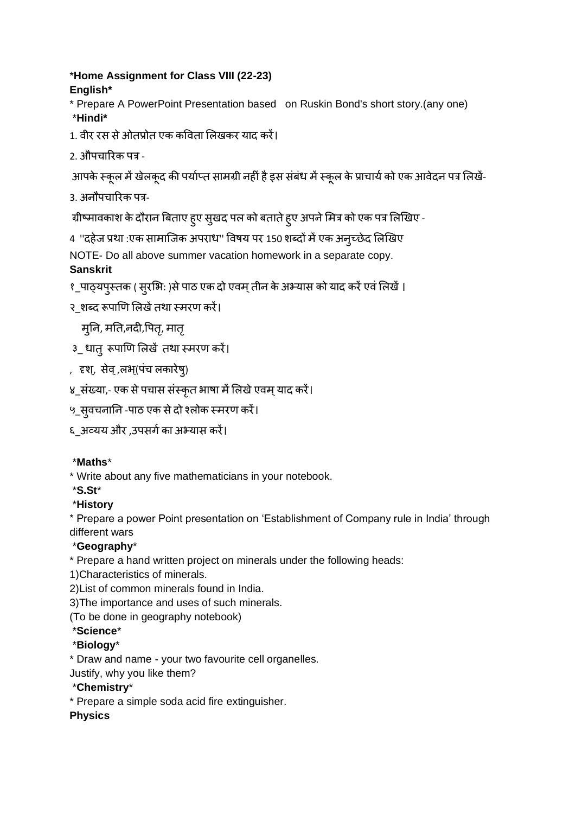#### \***Home Assignment for Class VIII (22-23) English\***

- \* Prepare A PowerPoint Presentation based on Ruskin Bond's short story.(any one) \***Hindi\***
- 1. वीर रस से ओतप्रोत एक कविता लिखकर याद करें।
- 2. औपचाररक पत्र -

आपके स्कूल में खेलकूद की पर्याप्त सामग्री नहीं है इस संबंध में स्कूल के प्राचार्य को एक आवेदन पत्र लिखें-

3. अनौपचाररक पत्र-

ग्रीष्मावकाश के दौरान बिताए हुए सुखद पल को बताते हुए अपने मित्र को एक पत्र लिखिए -

4 ''दहेज प्रथा :एक सामाजिक अपराध'' विषय पर 150 शब्दों में एक अनृच्छेद लिखिए

NOTE- Do all above summer vacation homework in a separate copy.

### **Sanskrit**

- १\_पाठ्यपुस्तक ( सुरभि: )से पाठ एक दो एवम् तीन के अभ्यास को याद करें एवं लिखें ।
- २ शब्द रूपाणि लिखें तथा स्मरण करें।

मूनि, मति,नदी,पितृ, मातृ

- ३ धातु रूपाणि लिखें तथा स्मरण करें।
- , दृश्, सेव् ,लभ्(पंच लकारेषु)
- ४\_संख्या,- एक से पचास संस्कृत भाषा में लिखे एवम् याद करें।
- ५\_सुवचनानि -पाठ एक से दो श्लोक स्मरण करें।
- ६\_अव्यय और ,उपसर्ाका अभ्यास करें।

### \***Maths**\*

\* Write about any five mathematicians in your notebook.

- \***S.St**\*
- \***History**

\* Prepare a power Point presentation on 'Establishment of Company rule in India' through different wars

# \***Geography**\*

- \* Prepare a hand written project on minerals under the following heads:
- 1)Characteristics of minerals.
- 2)List of common minerals found in India.

3)The importance and uses of such minerals.

(To be done in geography notebook)

### \***Science**\*

# \***Biology**\*

\* Draw and name - your two favourite cell organelles.

Justify, why you like them?

# \***Chemistry**\*

\* Prepare a simple soda acid fire extinguisher.

# **Physics**